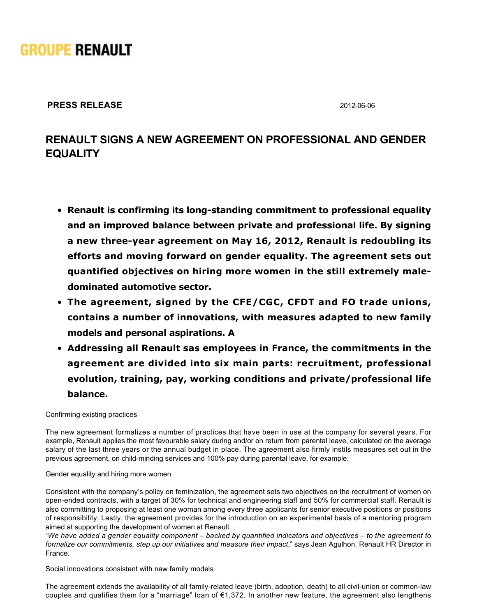

**PRESS RELEASE** 2012-06-06

## **RENAULT SIGNS A NEW AGREEMENT ON PROFESSIONAL AND GENDER EQUALITY**

- **Renault is confirming its long-standing commitment to professional equality and an improved balance between private and professional life. By signing** a new three-year agreement on May 16, 2012, Renault is redoubling its **efforts and moving forward on gender equality. The agreement sets out quantified objectives on hiring more women in the still extremely maledominated automotive sector.**
- **The agreement, signed by the CFE/CGC, CFDT and FO trade unions, contains a number of innovations, with measures adapted to new family models and personal aspirations. A**
- **Addressing all Renault sas employees in France, the commitments in the agreement are divided into six main parts: recruitment, professional evolution, training, pay, working conditions and private/professional life balance.**

Confirming existing practices

The new agreement formalizes a number of practices that have been in use at the company for several years. For example, Renault applies the most favourable salary during and/or on return from parental leave, calculated on the average salary of the last three years or the annual budget in place. The agreement also firmly instils measures set out in the previous agreement, on child-minding services and 100% pay during parental leave, for example.

Gender equality and hiring more women

Consistent with the company's policy on feminization, the agreement sets two objectives on the recruitment of women on open-ended contracts, with a target of 30% for technical and engineering staff and 50% for commercial staff. Renault is also committing to proposing at least one woman among every three applicants for senior executive positions or positions of responsibility. Lastly, the agreement provides for the introduction on an experimental basis of a mentoring program aimed at supporting the development of women at Renault.

"*We have added a gender equality component – backed by quantified indicators and objectives – to the agreement to formalize our commitments, step up our initiatives and measure their impact*," says Jean Agulhon, Renault HR Director in France.

Social innovations consistent with new family models

The agreement extends the availability of all family-related leave (birth, adoption, death) to all civil-union or common-law couples and qualifies them for a "marriage" loan of  $\epsilon$ 1,372. In another new feature, the agreement also lengthens